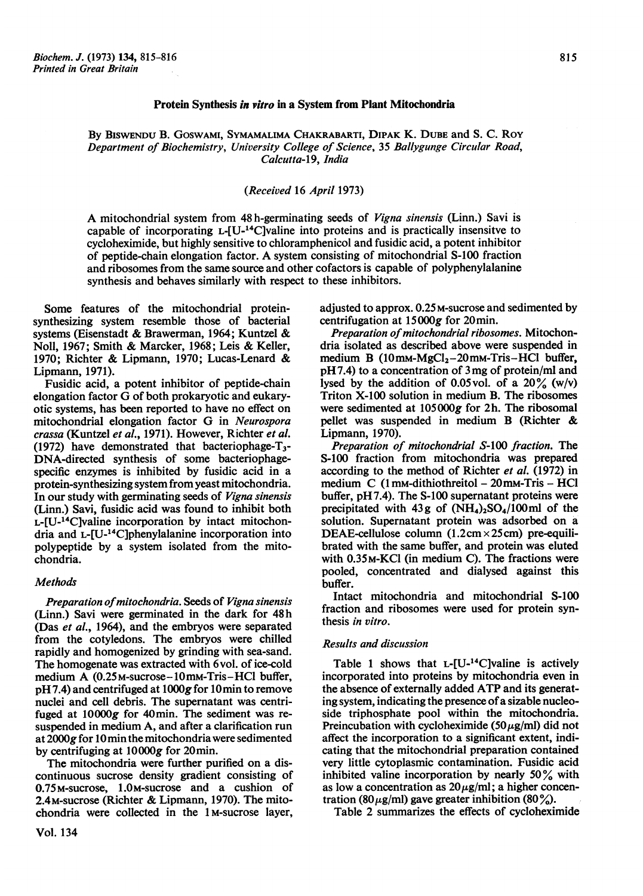## Protein Synthesis in vitro in a System from Plant Mitochondria

By BiswENDu B. GoswAMI, SYMAMALIMA CHAKRABARTI, DIPAK K. DUBE and S. C. Roy Department of Biochemistry, University College of Science, 35 Ballygunge Circular Road, Calcutta-19, India

## (Received 16 April 1973)

A mitochondrial system from <sup>48</sup> h-germinating seeds of Vigna sinensis (Linn.) Savi is capable of incorporating  $L$ -[U-<sup>14</sup>C]valine into proteins and is practically insensitve to cycloheximide, but highly sensitive to chloramphenicol and fusidic acid, a potent inhibitor of peptide-chain elongation factor. A system consisting of mitochondrial S-100 fraction and ribosomes from the same source and other cofactors is capable of polyphenylalanine synthesis and behaves similarly with respect to these inhibitors.

Some features of the mitochondrial proteinsynthesizing system resemble those of bacterial systems (Eisenstadt & Brawerman, 1964; Kuntzel & Noll, 1967; Smith & Marcker, 1968; Leis & Keller, 1970; Richter & Lipmann, 1970; Lucas-Lenard & Lipmann, 1971).

Fusidic acid, a potent inhibitor of peptide-chain elongation factor G of both prokaryotic and eukaryotic systems, has been reported to have no effect on mitochondrial elongation factor G in Neurospora crassa (Kuntzel et al., 1971). However, Richter et al. (1972) have demonstrated that bacteriophage- $T_{3}$ -DNA-directed synthesis of some bacteriophagespecific enzymes is inhibited by fusidic acid in a protein-synthesizing system from yeast mitochondria. In our study with germinating seeds of Vigna sinensis (Linn.) Savi, fusidic acid was found to inhibit both L-[U-14C]valine incorporation by intact mitochondria and L-[U-14C]phenylalanine incorporation into polypeptide by a system isolated from the mitochondria.

#### **Methods**

Preparation of mitochondria. Seeds of Vigna sinensis (Linn.) Savi were germinated in the dark for 48h (Das et al., 1964), and the embryos were separated from the cotyledons. The embryos were chilled rapidly and homogenized by grinding with sea-sand. The homogenate was extracted with 6 vol. of ice-cold medium A (0.25M-sucrose-lOmM-Tris-HCl buffer,  $pH7.4$ ) and centrifuged at 1000g for 10min to remove nuclei and cell debris. The supernatant was centrifuged at lOOOOg for 40min. The sediment was resuspended in medium A, and after a clarification run at 2000g for lOminthe mitochondriawere sedimented by centrifuging at 100OOg for 20min.

The mitochondria were further purified on a discontinuous sucrose density gradient consisting of 0.75 M-sucrose, 1.OM-sucrose and a cushion of 2.4M-sucrose (Richter & Lipmann, 1970). The mitochondria were collected in the <sup>1</sup> M-sucrose layer,

Vol. 134

adjusted to approx. 0.25 M-sucrose and sedimented by centrifugation at 15000g for 20min.

Preparation of mitochondrial ribosomes. Mitochondria isolated as described above were suspended in medium B  $(10 \text{mm-MgCl}_2 - 20 \text{mm-Tris}-HCl$  buffer, pH7.4) to a concentration of <sup>3</sup> mg of protein/ml and lysed by the addition of 0.05 vol. of a  $20\%$  (w/v) Triton X-100 solution in medium B. The ribosomes were sedimented at 105000g for 2h. The ribosomal pellet was suspended in medium B (Richter & Lipmann, 1970).

Preparation of mitochondrial S-100 fraction. The S-100 fraction from mitochondria was prepared according to the method of Richter et al.  $(1972)$  in medium C (1 mm-dithiothreitol - 20 mm-Tris - HCl buffer, pH7.4). The S-100 supernatant proteins were precipitated with 43g of  $(NH_4)_2SO_4/100 \text{ ml}$  of the solution. Supernatant protein was adsorbed on a DEAE-cellulose column  $(1.2 \text{cm} \times 25 \text{cm})$  pre-equilibrated with the same buffer, and protein was eluted with 0.35M-KCI (in medium C). The fractions were pooled, concentrated and dialysed against this buffer.

Intact mitochondria and mitochondrial S-100 fraction and ribosomes were used for protein synthesis in vitro.

#### Results and discussion

Table 1 shows that  $L$ -[U-<sup>14</sup>C]valine is actively incorporated into proteins by mitochondria even in the absence of externally added ATP and its generating system, indicating the presence of a sizable nucleoside triphosphate pool within the mitochondria. Preincubation with cycloheximide ( $50 \mu g/ml$ ) did not affect the incorporation to a significant extent, indicating that the mitochondrial preparation contained very little cytoplasmic contamination. Fusidic acid inhibited valine incorporation by nearly 50% with as low a concentration as  $20\,\mu\text{g/ml}$ ; a higher concentration (80 $\mu$ g/ml) gave greater inhibition (80%).

Table 2 summarizes the effects of cycloheximide